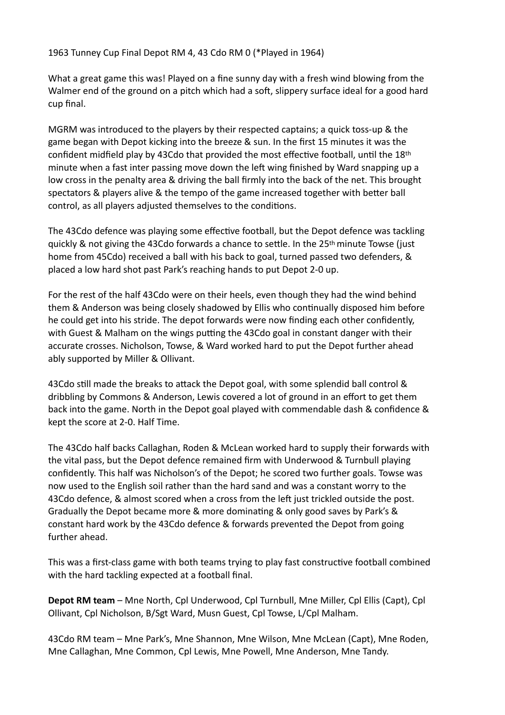## 1963 Tunney Cup Final Depot RM 4, 43 Cdo RM 0 (\*Played in 1964)

What a great game this was! Played on a fine sunny day with a fresh wind blowing from the Walmer end of the ground on a pitch which had a soft, slippery surface ideal for a good hard cup final.

MGRM was introduced to the players by their respected captains; a quick toss-up & the game began with Depot kicking into the breeze & sun. In the first 15 minutes it was the confident midfield play by 43Cdo that provided the most effective football, until the 18th minute when a fast inter passing move down the left wing finished by Ward snapping up a low cross in the penalty area & driving the ball firmly into the back of the net. This brought spectators & players alive & the tempo of the game increased together with better ball control, as all players adjusted themselves to the conditions.

The 43Cdo defence was playing some effective football, but the Depot defence was tackling quickly & not giving the 43Cdo forwards a chance to settle. In the 25th minute Towse (just home from 45Cdo) received a ball with his back to goal, turned passed two defenders, & placed a low hard shot past Park's reaching hands to put Depot 2-0 up.

For the rest of the half 43Cdo were on their heels, even though they had the wind behind them & Anderson was being closely shadowed by Ellis who continually disposed him before he could get into his stride. The depot forwards were now finding each other confidently, with Guest & Malham on the wings putting the 43Cdo goal in constant danger with their accurate crosses. Nicholson, Towse, & Ward worked hard to put the Depot further ahead ably supported by Miller & Ollivant.

43Cdo still made the breaks to attack the Depot goal, with some splendid ball control & dribbling by Commons & Anderson, Lewis covered a lot of ground in an effort to get them back into the game. North in the Depot goal played with commendable dash & confidence & kept the score at 2-0. Half Time.

The 43Cdo half backs Callaghan, Roden & McLean worked hard to supply their forwards with the vital pass, but the Depot defence remained firm with Underwood & Turnbull playing confidently. This half was Nicholson's of the Depot; he scored two further goals. Towse was now used to the English soil rather than the hard sand and was a constant worry to the 43Cdo defence, & almost scored when a cross from the left just trickled outside the post. Gradually the Depot became more & more dominating & only good saves by Park's & constant hard work by the 43Cdo defence & forwards prevented the Depot from going further ahead.

This was a first-class game with both teams trying to play fast constructive football combined with the hard tackling expected at a football final.

**Depot RM team** – Mne North, Cpl Underwood, Cpl Turnbull, Mne Miller, Cpl Ellis (Capt), Cpl Ollivant, Cpl Nicholson, B/Sgt Ward, Musn Guest, Cpl Towse, L/Cpl Malham.

43Cdo RM team – Mne Park's, Mne Shannon, Mne Wilson, Mne McLean (Capt), Mne Roden, Mne Callaghan, Mne Common, Cpl Lewis, Mne Powell, Mne Anderson, Mne Tandy.